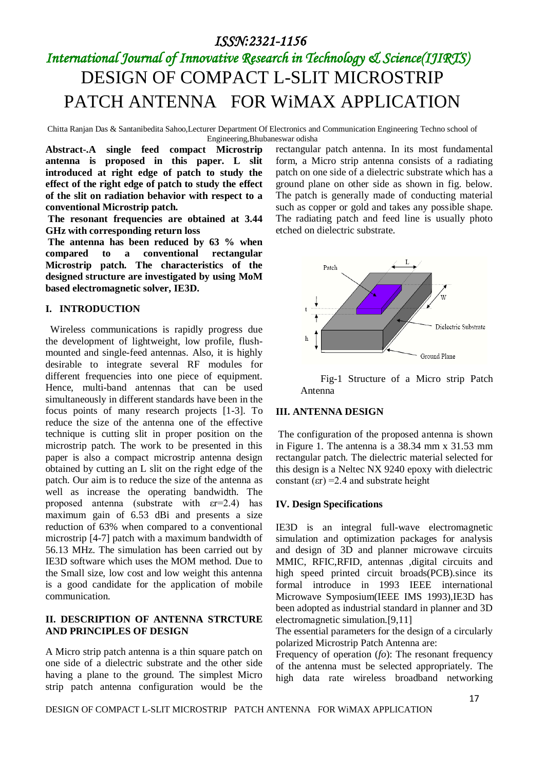### *ISSN:2321-1156*

# *International Journal of Innovative Research in Technology & Science(IJIRTS)* DESIGN OF COMPACT L-SLIT MICROSTRIP PATCH ANTENNA FOR WiMAX APPLICATION

Chitta Ranjan Das & Santanibedita Sahoo,Lecturer Department Of Electronics and Communication Engineering Techno school of Engineering,Bhubaneswar odisha

**Abstract-.A single feed compact Microstrip antenna is proposed in this paper. L slit introduced at right edge of patch to study the effect of the right edge of patch to study the effect of the slit on radiation behavior with respect to a conventional Microstrip patch.**

**The resonant frequencies are obtained at 3.44 GHz with corresponding return loss** 

**The antenna has been reduced by 63 % when compared to a conventional rectangular Microstrip patch. The characteristics of the designed structure are investigated by using MoM based electromagnetic solver, IE3D.**

### **I. INTRODUCTION**

Wireless communications is rapidly progress due the development of lightweight, low profile, flushmounted and single-feed antennas. Also, it is highly desirable to integrate several RF modules for different frequencies into one piece of equipment. Hence, multi-band antennas that can be used simultaneously in different standards have been in the focus points of many research projects [1-3]. To reduce the size of the antenna one of the effective technique is cutting slit in proper position on the microstrip patch. The work to be presented in this paper is also a compact microstrip antenna design obtained by cutting an L slit on the right edge of the patch. Our aim is to reduce the size of the antenna as well as increase the operating bandwidth. The proposed antenna (substrate with εr=2.4) has maximum gain of 6.53 dBi and presents a size reduction of 63% when compared to a conventional microstrip [4-7] patch with a maximum bandwidth of 56.13 MHz. The simulation has been carried out by IE3D software which uses the MOM method. Due to the Small size, low cost and low weight this antenna is a good candidate for the application of mobile communication.

### **II. DESCRIPTION OF ANTENNA STRCTURE AND PRINCIPLES OF DESIGN**

A Micro strip patch antenna is a thin square patch on one side of a dielectric substrate and the other side having a plane to the ground. The simplest Micro strip patch antenna configuration would be the rectangular patch antenna. In its most fundamental form, a Micro strip antenna consists of a radiating patch on one side of a dielectric substrate which has a ground plane on other side as shown in fig. below. The patch is generally made of conducting material such as copper or gold and takes any possible shape. The radiating patch and feed line is usually photo etched on dielectric substrate.



 Fig-1 Structure of a Micro strip Patch Antenna

#### **III. ANTENNA DESIGN**

The configuration of the proposed antenna is shown in Figure 1. The antenna is a 38.34 mm x 31.53 mm rectangular patch. The dielectric material selected for this design is a Neltec NX 9240 epoxy with dielectric constant  $(\epsilon r) = 2.4$  and substrate height

#### **IV. Design Specifications**

IE3D is an integral full-wave electromagnetic simulation and optimization packages for analysis and design of 3D and planner microwave circuits MMIC, RFIC,RFID, antennas ,digital circuits and high speed printed circuit broads(PCB).since its formal introduce in 1993 IEEE international Microwave Symposium(IEEE IMS 1993),IE3D has been adopted as industrial standard in planner and 3D electromagnetic simulation.[9,11]

The essential parameters for the design of a circularly polarized Microstrip Patch Antenna are:

Frequency of operation (*fo*): The resonant frequency of the antenna must be selected appropriately. The high data rate wireless broadband networking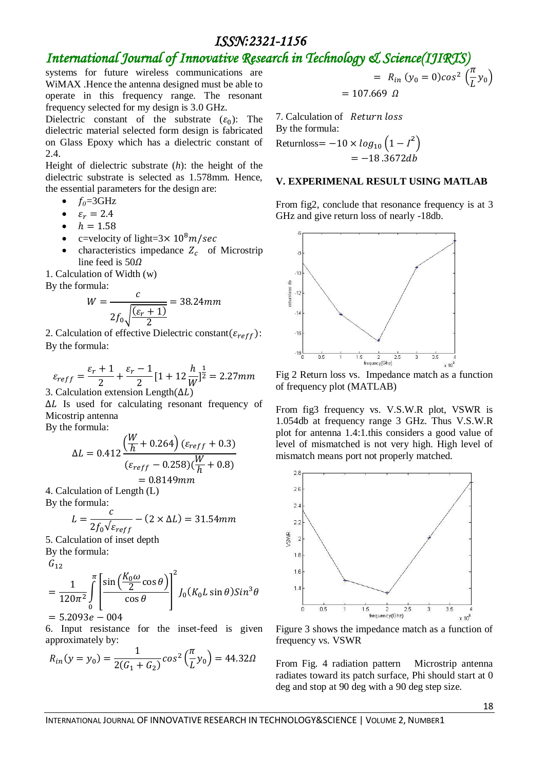### *ISSN:2321-1156*

### *International Journal of Innovative Research in Technology & Science(IJIRTS)*

systems for future wireless communications are WiMAX .Hence the antenna designed must be able to operate in this frequency range. The resonant frequency selected for my design is 3.0 GHz.

Dielectric constant of the substrate  $(\varepsilon_0)$ : The dielectric material selected form design is fabricated on Glass Epoxy which has a dielectric constant of 2.4.

Height of dielectric substrate (*h*): the height of the dielectric substrate is selected as 1.578mm. Hence, the essential parameters for the design are:

- $f<sub>0</sub>=3GHz$
- $\varepsilon_r = 2.4$
- $h = 1.58$
- c=velocity of light= $3 \times 10^8 m/sec$
- characteristics impedance  $Z_c$  of Microstrip line feed is  $50\Omega$

1. Calculation of Width (w)

By the formula:

$$
W = \frac{c}{2f_0\sqrt{\frac{(\varepsilon_r + 1)}{2}}} = 38.24mm
$$

2. Calculation of effective Dielectric constant ( $\varepsilon_{reff}$ ): By the formula:

$$
\varepsilon_{reff} = \frac{\varepsilon_r + 1}{2} + \frac{\varepsilon_r - 1}{2} [1 + 12 \frac{h}{W}]^{\frac{1}{2}} = 2.27mm
$$

3. Calculation extension Length $(\Delta L)$ 

 $\Delta L$  Is used for calculating resonant frequency of Micostrip antenna

By the formula:

$$
\Delta L = 0.412 \frac{\left(\frac{W}{h} + 0.264\right) (\varepsilon_{reff} + 0.3)}{(\varepsilon_{reff} - 0.258) (\frac{W}{h} + 0.8)}
$$
  
= 0.8149mm

4. Calculation of Length (L)

By the formula:

$$
L = \frac{c}{2f_0\sqrt{\varepsilon_{reff}}} - (2 \times \Delta L) = 31.54 \, mm
$$

5. Calculation of inset depth

By the formula:

 $G_{12}$ 

$$
= \frac{1}{120\pi^2} \int_{0}^{\pi} \left[ \frac{\sin\left(\frac{K_0 \omega}{2} \cos \theta\right)}{\cos \theta} \right]^2 J_0(K_0 L \sin \theta) Sin^3 \theta
$$
  
= 5.2093*e* - 004

6. Input resistance for the inset-feed is given approximately by:

$$
R_{in}(y = y_0) = \frac{1}{2(G_1 + G_2)} \cos^2\left(\frac{\pi}{L}y_0\right) = 44.32\Omega
$$

$$
= R_{in} (y_0 = 0) \cos^2 \left( \frac{\pi}{L} y_0 \right)
$$
  
= 107.669  $\Omega$ 

7. Calculation of By the formula: Returnloss =  $-10 \times log_{10} (1 - I^2)$  $=-18.3672db$ 

#### **V. EXPERIMENAL RESULT USING MATLAB**

From fig2, conclude that resonance frequency is at 3 GHz and give return loss of nearly -18db.



Fig 2 Return loss vs. Impedance match as a function of frequency plot (MATLAB)

From fig3 frequency vs. V.S.W.R plot, VSWR is 1.054db at frequency range 3 GHz. Thus V.S.W.R plot for antenna 1.4:1.this considers a good value of level of mismatched is not very high. High level of mismatch means port not properly matched.



Figure 3 shows the impedance match as a function of frequency vs. VSWR

From Fig. 4 radiation pattern Microstrip antenna radiates toward its patch surface, Phi should start at 0 deg and stop at 90 deg with a 90 deg step size.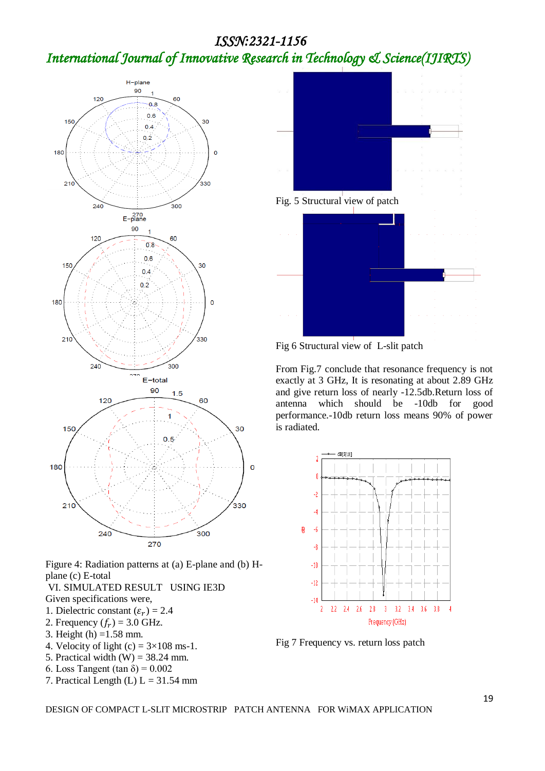# *ISSN:2321-1156 International Journal of Innovative Research in Technology & Science(IJIRTS)*



Figure 4: Radiation patterns at (a) E-plane and (b) Hplane (c) E-total

- VI. SIMULATED RESULT USING IE3D
- Given specifications were,
- 1. Dielectric constant  $(\varepsilon_r) = 2.4$
- 2. Frequency  $(f_r) = 3.0$  GHz.
- 3. Height (h) =1.58 mm.
- 4. Velocity of light  $(c) = 3 \times 108$  ms-1.
- 5. Practical width  $(W) = 38.24$  mm.
- 6. Loss Tangent (tan  $\delta$ ) = 0.002
- 7. Practical Length (L)  $L = 31.54$  mm



Fig 6 Structural view of L-slit patch

From Fig.7 conclude that resonance frequency is not exactly at 3 GHz, It is resonating at about 2.89 GHz and give return loss of nearly -12.5db.Return loss of antenna which should be -10db for good performance.-10db return loss means 90% of power is radiated.



Fig 7 Frequency vs. return loss patch

DESIGN OF COMPACT L-SLIT MICROSTRIP PATCH ANTENNA FOR WiMAX APPLICATION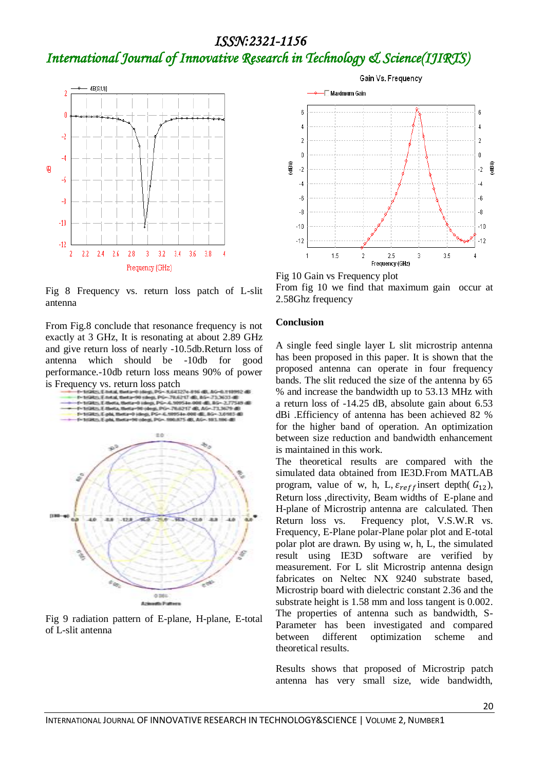# *ISSN:2321-1156 International Journal of Innovative Research in Technology & Science(IJIRTS)*



Fig 8 Frequency vs. return loss patch of L-slit antenna

From Fig.8 conclude that resonance frequency is not exactly at 3 GHz, It is resonating at about 2.89 GHz and give return loss of nearly -10.5db.Return loss of antenna which should be -10db for good performance.-10db return loss means 90% of power



Fig 9 radiation pattern of E-plane, H-plane, E-total of L-slit antenna



Fig 10 Gain vs Frequency plot From fig 10 we find that maximum gain occur at 2.58Ghz frequency

### **Conclusion**

A single feed single layer L slit microstrip antenna has been proposed in this paper. It is shown that the proposed antenna can operate in four frequency bands. The slit reduced the size of the antenna by 65 % and increase the bandwidth up to 53.13 MHz with a return loss of -14.25 dB, absolute gain about 6.53 dBi .Efficiency of antenna has been achieved 82 % for the higher band of operation. An optimization between size reduction and bandwidth enhancement is maintained in this work.

The theoretical results are compared with the simulated data obtained from IE3D.From MATLAB program, value of w, h, L,  $\varepsilon_{reff}$  insert depth(  $G_{12}$ ), Return loss ,directivity, Beam widths of E-plane and H-plane of Microstrip antenna are calculated. Then Return loss vs. Frequency plot, V.S.W.R vs. Frequency, E-Plane polar-Plane polar plot and E-total polar plot are drawn. By using w, h, L, the simulated result using IE3D software are verified by measurement. For L slit Microstrip antenna design fabricates on Neltec NX 9240 substrate based, Microstrip board with dielectric constant 2.36 and the substrate height is 1.58 mm and loss tangent is 0.002. The properties of antenna such as bandwidth, S-Parameter has been investigated and compared between different optimization scheme and theoretical results.

Results shows that proposed of Microstrip patch antenna has very small size, wide bandwidth,